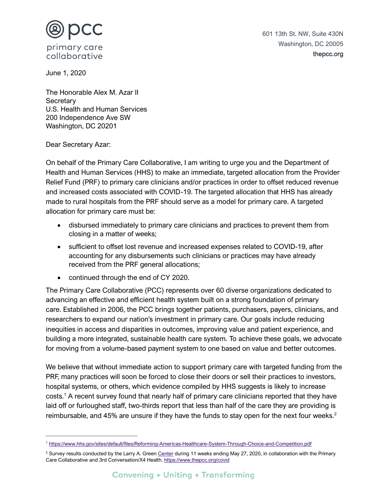

June 1, 2020

The Honorable Alex M. Azar II **Secretary** U.S. Health and Human Services 200 Independence Ave SW Washington, DC 20201

Dear Secretary Azar:

On behalf of the Primary Care Collaborative, I am writing to urge you and the Department of Health and Human Services (HHS) to make an immediate, targeted allocation from the Provider Relief Fund (PRF) to primary care clinicians and/or practices in order to offset reduced revenue and increased costs associated with COVID-19. The targeted allocation that HHS has already made to rural hospitals from the PRF should serve as a model for primary care. A targeted allocation for primary care must be:

- disbursed immediately to primary care clinicians and practices to prevent them from closing in a matter of weeks;
- sufficient to offset lost revenue and increased expenses related to COVID-19, after accounting for any disbursements such clinicians or practices may have already received from the PRF general allocations;
- continued through the end of CY 2020.

The Primary Care Collaborative (PCC) represents over 60 diverse organizations dedicated to advancing an effective and efficient health system built on a strong foundation of primary care. Established in 2006, the PCC brings together patients, purchasers, payers, clinicians, and researchers to expand our nation's investment in primary care. Our goals include reducing inequities in access and disparities in outcomes, improving value and patient experience, and building a more integrated, sustainable health care system. To achieve these goals, we advocate for moving from a volume-based payment system to one based on value and better outcomes.

We believe that without immediate action to support primary care with targeted funding from the PRF, many practices will soon be forced to close their doors or sell their practices to investors, hospital systems, or others, which evidence compiled by HHS suggests is likely to increase costs.<sup>1</sup> A recent survey found that nearly half of primary care clinicians reported that they have laid off or furloughed staff, two-thirds report that less than half of the care they are providing is reimbursable, and 45% are unsure if they have the funds to stay open for the next four weeks.<sup>2</sup>

<sup>1</sup> <https://www.hhs.gov/sites/default/files/Reforming-Americas-Healthcare-System-Through-Choice-and-Competition.pdf>

<sup>&</sup>lt;sup>2</sup> Survey results conducted by the Larry A. Green [Center](https://www.green-center.org/) during 11 weeks ending May 27, 2020, in collaboration with the Primary Care Collaborative and 3rd Conversation/X4 Health. <https://www.thepcc.org/covid>